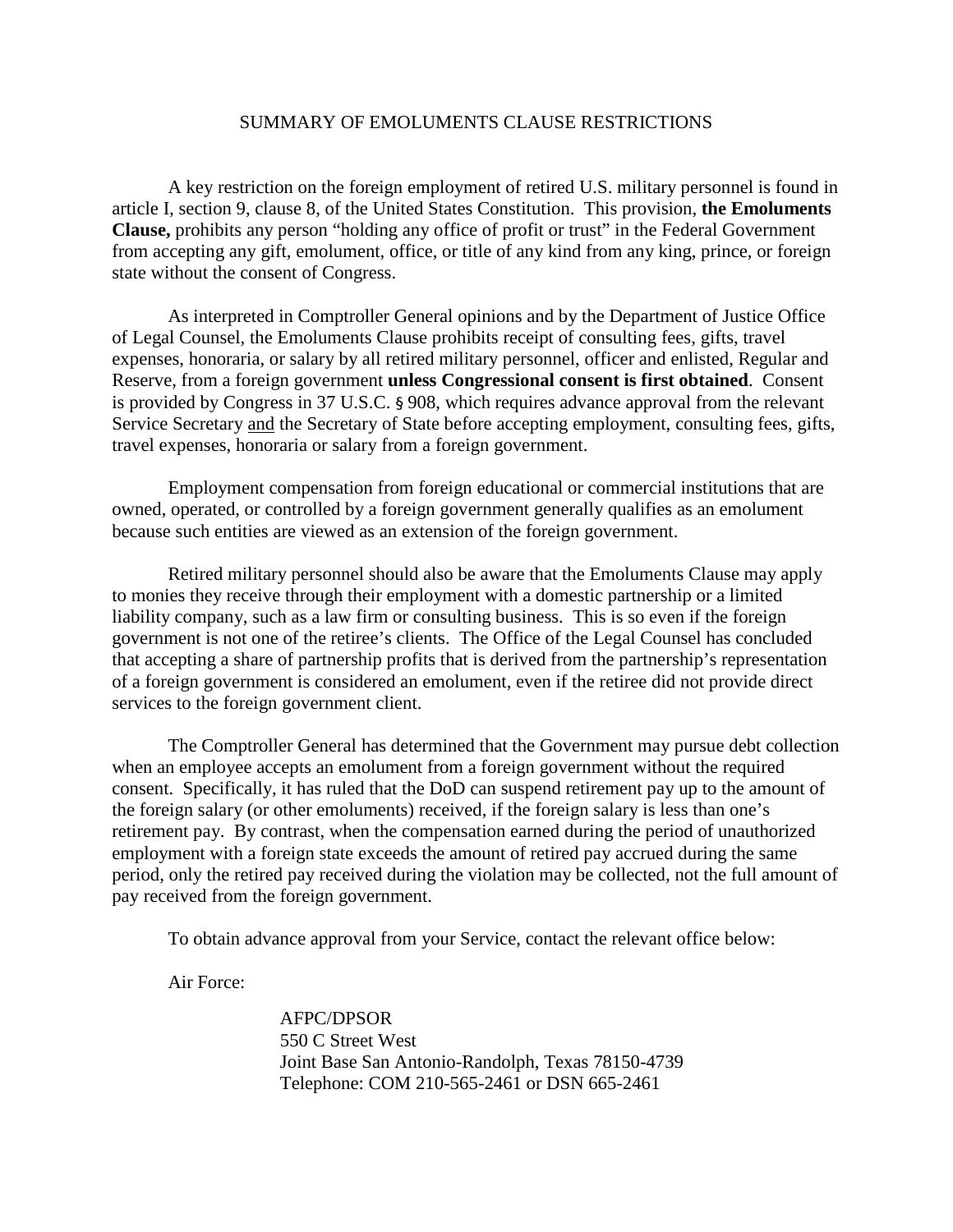## SUMMARY OF EMOLUMENTS CLAUSE RESTRICTIONS

A key restriction on the foreign employment of retired U.S. military personnel is found in article I, section 9, clause 8, of the United States Constitution. This provision, **the Emoluments Clause,** prohibits any person "holding any office of profit or trust" in the Federal Government from accepting any gift, emolument, office, or title of any kind from any king, prince, or foreign state without the consent of Congress.

As interpreted in Comptroller General opinions and by the Department of Justice Office of Legal Counsel, the Emoluments Clause prohibits receipt of consulting fees, gifts, travel expenses, honoraria, or salary by all retired military personnel, officer and enlisted, Regular and Reserve, from a foreign government **unless Congressional consent is first obtained**. Consent is provided by Congress in 37 U.S.C. § 908, which requires advance approval from the relevant Service Secretary and the Secretary of State before accepting employment, consulting fees, gifts, travel expenses, honoraria or salary from a foreign government.

Employment compensation from foreign educational or commercial institutions that are owned, operated, or controlled by a foreign government generally qualifies as an emolument because such entities are viewed as an extension of the foreign government.

Retired military personnel should also be aware that the Emoluments Clause may apply to monies they receive through their employment with a domestic partnership or a limited liability company, such as a law firm or consulting business. This is so even if the foreign government is not one of the retiree's clients. The Office of the Legal Counsel has concluded that accepting a share of partnership profits that is derived from the partnership's representation of a foreign government is considered an emolument, even if the retiree did not provide direct services to the foreign government client.

The Comptroller General has determined that the Government may pursue debt collection when an employee accepts an emolument from a foreign government without the required consent. Specifically, it has ruled that the DoD can suspend retirement pay up to the amount of the foreign salary (or other emoluments) received, if the foreign salary is less than one's retirement pay. By contrast, when the compensation earned during the period of unauthorized employment with a foreign state exceeds the amount of retired pay accrued during the same period, only the retired pay received during the violation may be collected, not the full amount of pay received from the foreign government.

To obtain advance approval from your Service, contact the relevant office below:

Air Force:

AFPC/DPSOR 550 C Street West Joint Base San Antonio-Randolph, Texas 78150-4739 Telephone: COM 210-565-2461 or DSN 665-2461